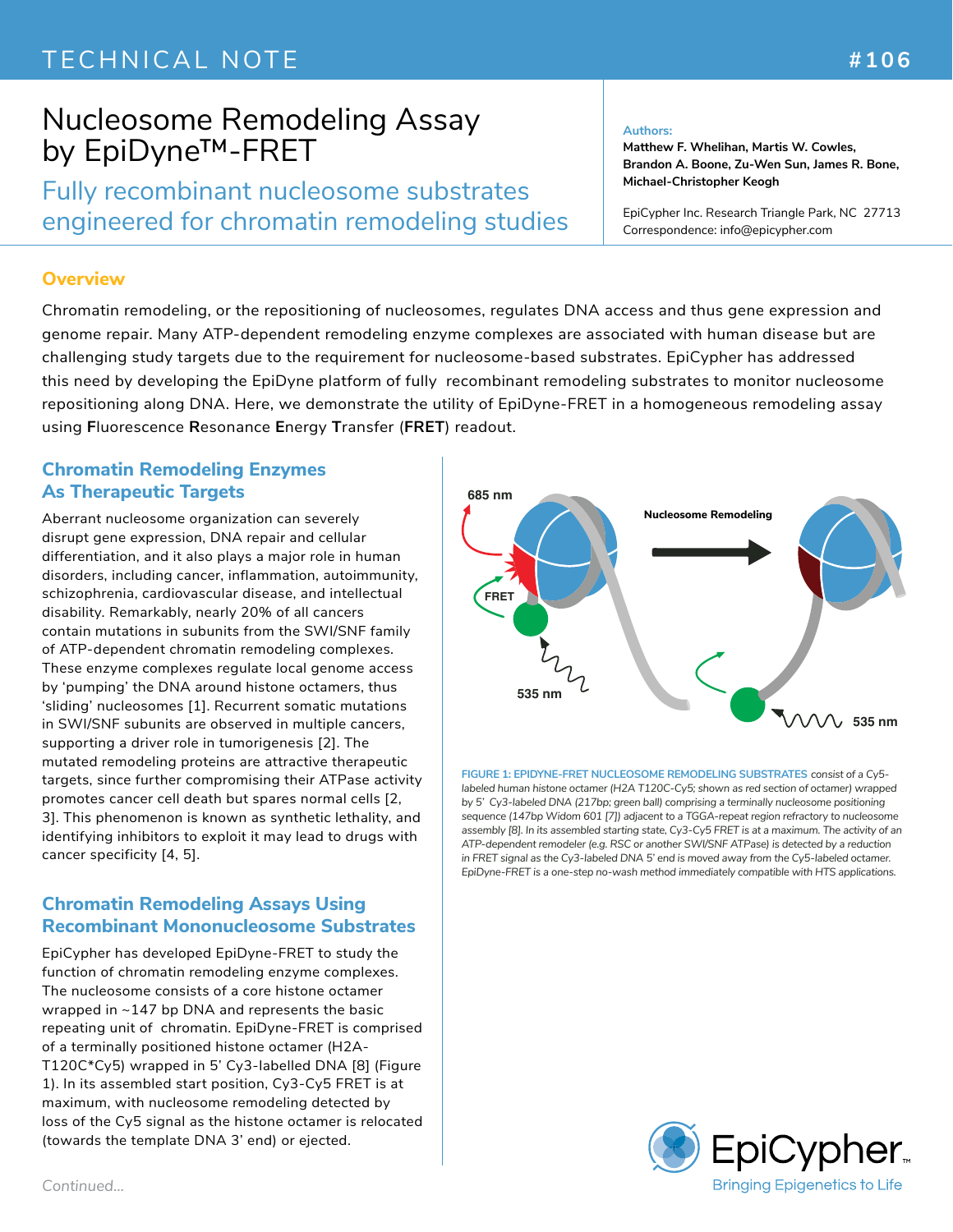## TECHNICAL NOTE **And All 2006 #106**

# Nucleosome Remodeling Assay by EpiDyne™-FRET

Fully recombinant nucleosome substrates engineered for chromatin remodeling studies

#### **Authors:**

**Matthew F. Whelihan, Martis W. Cowles, Brandon A. Boone, Zu-Wen Sun, James R. Bone, Michael-Christopher Keogh**

EpiCypher Inc. Research Triangle Park, NC 27713 Correspondence: info@epicypher.com

### **Overview**

Chromatin remodeling, or the repositioning of nucleosomes, regulates DNA access and thus gene expression and genome repair. Many ATP-dependent remodeling enzyme complexes are associated with human disease but are challenging study targets due to the requirement for nucleosome-based substrates. EpiCypher has addressed this need by developing the EpiDyne platform of fully recombinant remodeling substrates to monitor nucleosome repositioning along DNA. Here, we demonstrate the utility of EpiDyne-FRET in a homogeneous remodeling assay using **F**luorescence **R**esonance **E**nergy **T**ransfer (**FRET**) readout.

### **Chromatin Remodeling Enzymes As Therapeutic Targets**

Aberrant nucleosome organization can severely disrupt gene expression, DNA repair and cellular differentiation, and it also plays a major role in human disorders, including cancer, inflammation, autoimmunity, schizophrenia, cardiovascular disease, and intellectual disability. Remarkably, nearly 20% of all cancers contain mutations in subunits from the SWI/SNF family of ATP-dependent chromatin remodeling complexes. These enzyme complexes regulate local genome access by 'pumping' the DNA around histone octamers, thus 'sliding' nucleosomes [1]. Recurrent somatic mutations in SWI/SNF subunits are observed in multiple cancers, supporting a driver role in tumorigenesis [2]. The mutated remodeling proteins are attractive therapeutic targets, since further compromising their ATPase activity promotes cancer cell death but spares normal cells [2, 3]. This phenomenon is known as synthetic lethality, and identifying inhibitors to exploit it may lead to drugs with cancer specificity [4, 5].

## **Chromatin Remodeling Assays Using Recombinant Mononucleosome Substrates**

EpiCypher has developed EpiDyne-FRET to study the function of chromatin remodeling enzyme complexes. The nucleosome consists of a core histone octamer wrapped in ~147 bp DNA and represents the basic repeating unit of chromatin. EpiDyne-FRET is comprised of a terminally positioned histone octamer (H2A-T120C\*Cy5) wrapped in 5' Cy3-labelled DNA [8] (Figure 1). In its assembled start position, Cy3-Cy5 FRET is at maximum, with nucleosome remodeling detected by loss of the Cy5 signal as the histone octamer is relocated (towards the template DNA 3' end) or ejected.



**FIGURE 1: EPIDYNE-FRET NUCLEOSOME REMODELING SUBSTRATES** *consist of a Cy5 labeled human histone octamer (H2A T120C-Cy5; shown as red section of octamer) wrapped by 5' Cy3-labeled DNA (217bp; green ball) comprising a terminally nucleosome positioning sequence (147bp Widom 601 [7]) adjacent to a TGGA-repeat region refractory to nucleosome assembly [8]. In its assembled starting state, Cy3-Cy5 FRET is at a maximum. The activity of an ATP-dependent remodeler (e.g. RSC or another SWI/SNF ATPase) is detected by a reduction in FRET signal as the Cy3-labeled DNA 5' end is moved away from the Cy5-labeled octamer. EpiDyne-FRET is a one-step no-wash method immediately compatible with HTS applications.*